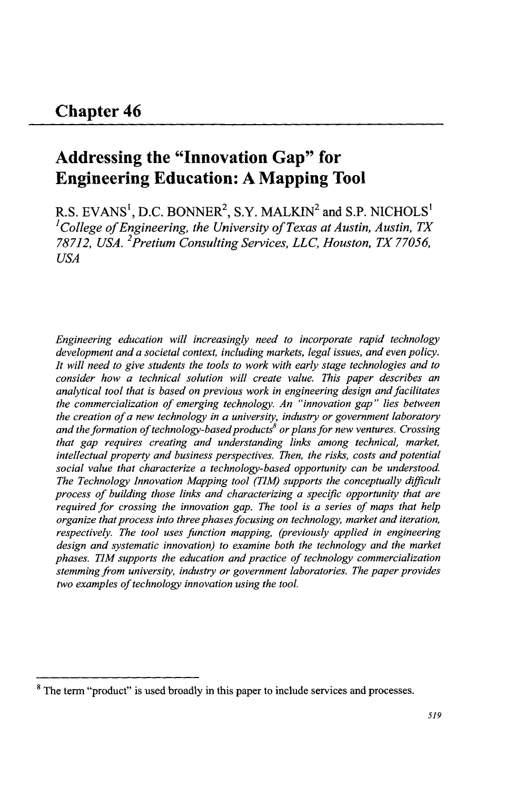# **Addressing the "Innovation Gap" for Engineering Education: A Mapping Tool**

R.S. EVANS<sup>1</sup>, D.C. BONNER<sup>2</sup>, S.Y. MALKIN<sup>2</sup> and S.P. NICHOLS<sup>1</sup> <sup>1</sup>*College of Engineering, the University of Texas at Austin, Austin, TX 78712, USA.* 2 *Pretium Consulting Services, LLC, Houston, TX 77056, USA* 

*Engineering education will increasingly need to incorporate rapid technology development and a societal context, including markets, legal issues, and even policy. It will need to give students the tools to work with early stage technologies and to consider how a technical solution will create value. This paper describes an analytical tool that is based on previous work in engineering design and facilitates the commercialization of emerging technology. An "innovation gap" lies between the creation of a new technology in a university, industry or government laboratory and the formation of technology-based products or plans for new ventures. Crossing that gap requires creating and understanding links among technical, market, intellectual property and business perspectives. Then, the risks, costs and potential social value that characterize a technology-based opportunity can be understood The Technology Innovation Mapping tool (TIM) supports the conceptually difficult process of building those links and characterizing a specific opportunity that are required for crossing the innovation gap. The tool* is *a series of maps that help organize that process into three phases focusing on technology, market and iteration, respectively. The tool uses function mapping, (previously applied in engineering design and systematic innovation) to examine both the technology and the market phases. TIM supports the education and practice of technology commercialization stemming from university, industry or government laboratories. The paper provides two examples of technology innovation using the tool.* 

<sup>&</sup>lt;sup>8</sup> The term "product" is used broadly in this paper to include services and processes.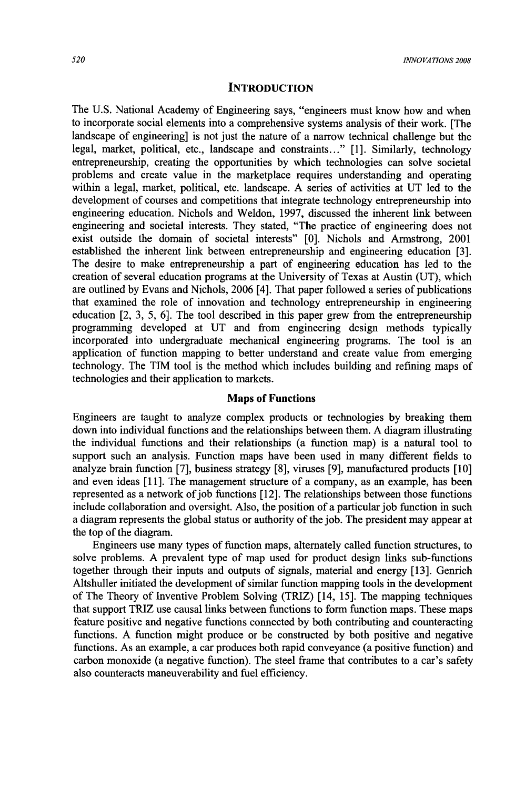### **INTRODUCTION**

The U.S. National Academy of Engineering says, "engineers must know how and when to incorporate social elements into a comprehensive systems analysis of their work. [The landscape of engineering] is not just the nature of a narrow technical challenge but the legal, market, political, etc., landscape and constraints ... " [1]. Similarly, technology entrepreneurship, creating the opportunities by which technologies can solve societal problems and create value in the marketplace requires understanding and operating within a legal, market, political, etc. landscape. A series of activities at UT led to the development of courses and competitions that integrate technology entrepreneurship into engineering education. Nichols and Weldon, 1997, discussed the inherent link between engineering and societal interests. They stated, "The practice of engineering does not exist outside the domain of societal interests" [0]. Nichols and Armstrong, 2001 established the inherent link between entrepreneurship and engineering education [3]. The desire to make entrepreneurship a part of engineering education has led to the creation of several education programs at the University of Texas at Austin (UT), which are outlined by Evans and Nichols, 2006 [4]. That paper followed a series of publications that examined the role of innovation and technology entrepreneurship in engineering education [2, 3, 5, 6]. The tool described in this paper grew from the entrepreneurship programming developed at UT and from engineering design methods typically incorporated into undergraduate mechanical engineering programs. The tool is an application of function mapping to better understand and create value from emerging technology. The TIM tool is the method which includes building and refining maps of technologies and their application to markets.

#### Maps of Functions

Engineers are taught to analyze complex products or technologies by breaking them down into individual functions and the relationships between them. A diagram illustrating the individual functions and their relationships (a function map) is a natural tool to support such an analysis. Function maps have been used in many different fields to analyze brain function [7], business strategy [8], viruses [9], manufactured products [10] and even ideas [11]. The management structure of a company, as an example, has been represented as a network of job functions [12]. The relationships between those functions include collaboration and oversight. Also, the position of a particular job function in such a diagram represents the global status or authority of the job. The president may appear at the top of the diagram.

Engineers use many types of function maps, alternately called function structures, to solve problems. A prevalent type of map used for product design links sub-functions together through their inputs and outputs of signals, material and energy [13]. Genrich Altshuller initiated the development of similar function mapping tools in the development of The Theory of Inventive Problem Solving (TRIZ) [14, 15]. The mapping techniques that support TRIZ use causal links between functions to form function maps. These maps feature positive and negative functions connected by both contributing and counteracting functions. A function might produce or be constructed by both positive and negative functions. As an example, a car produces both rapid conveyance (a positive function) and carbon monoxide (a negative function). The steel frame that contributes to a car's safety also counteracts maneuverability and fuel efficiency.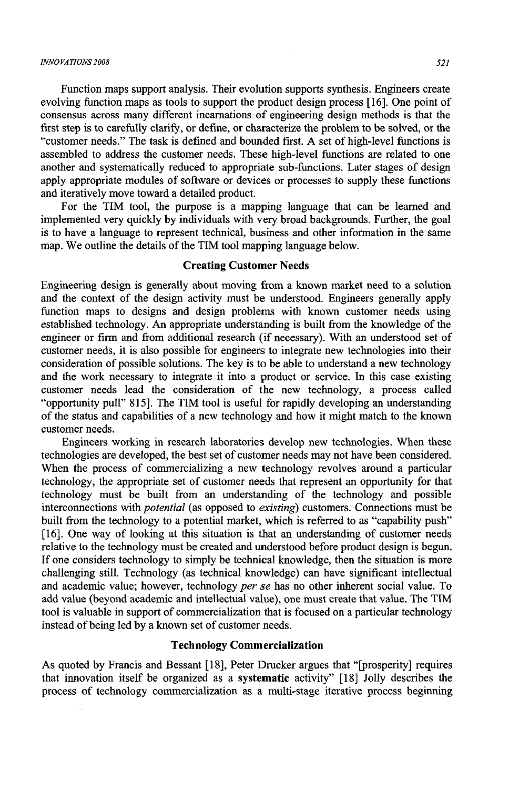#### *INNOVATIONS 2008* 521

Function maps support analysis. Their evolution supports synthesis. Engineers create evolving function maps as tools to support the product design process [16]. One point of consensus across many different incarnations of engineering design methods is that the first step is to carefully clarify, or define, or characterize the problem to be solved, or the "customer needs." The task is defined and bounded first. A set of high-level functions is assembled to address the customer needs. These high-level functions are related to one another and systematically reduced to appropriate sub-functions. Later stages of design apply appropriate modules of software or devices or processes to supply these functions and iteratively move toward a detailed product.

For the TIM tool, the purpose is a mapping language that can be learned and implemented very quickly by individuals with very broad backgrounds. Further, the goal is to have a language to represent technical, business and other information in the same map. We outline the details of the TIM tool mapping language below.

# Creating Customer Needs

Engineering design is generally about moving from a known market need to a solution and the context of the design activity must be understood. Engineers generally apply function maps to designs and design problems with known customer needs using established technology. An appropriate understanding is built from the knowledge of the engineer or firm and from additional research (if necessary). With an understood set of customer needs, it is also possible for engineers to integrate new technologies into their consideration of possible solutions. The key is to be able to understand a new technology and the work necessary to integrate it into a product or service. In this case existing customer needs lead the consideration of the new technology, a process called "opportunity pull" 815]. The TIM tool is useful for rapidly developing an understanding of the status and capabilities of a new technology and how it might match to the known customer needs.

Engineers working in research laboratories develop new technologies. When these technologies are developed, the best set of customer needs may not have been considered. When the process of commercializing a new technology revolves around a particular technology, the appropriate set of customer needs that represent an opportunity for that technology must be built from an understanding of the technology and possible interconnections with *potential* (as opposed to *existing)* customers. Connections must be built from the technology to a potential market, which is referred to as "capability push" [16]. One way of looking at this situation is that an understanding of customer needs relative to the technology must be created and understood before product design is begun. If one considers technology to simply be technical knowledge, then the situation is more challenging still. Technology (as technical knowledge) can have significant intellectual and academic value; however, technology *per se* has no other inherent social value. To add value (beyond academic and intellectual value), one must create that value. The TIM tool is valuable in support of commercialization that is focused on a particular technology instead of being led by a known set of customer needs.

### Technology Commercialization

As quoted by Francis and Bessant [18], Peter Drucker argues that "[prosperity] requires that innovation itself be organized as a systematic activity" [18] Jolly describes the process of technology commercialization as a multi-stage iterative process beginning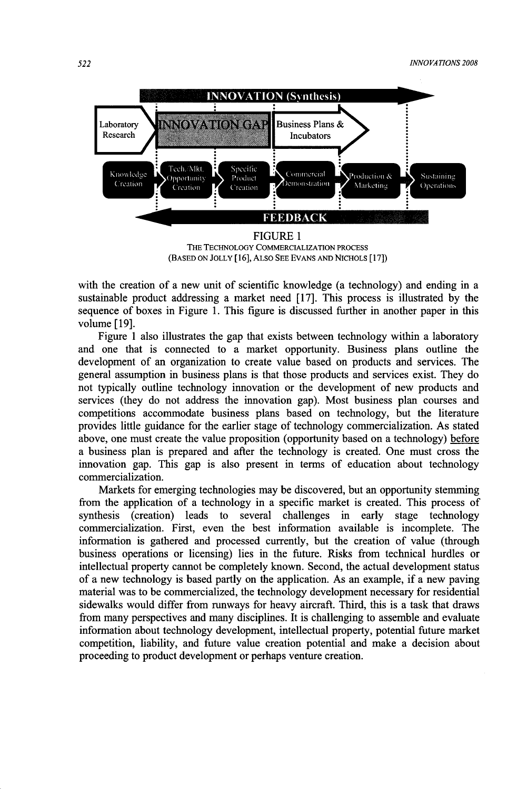

(BASED ON JOLLY [16], ALSO SEE EVANS AND NICHOLS [17])

with the creation of a new unit of scientific knowledge (a technology) and ending in a sustainable product addressing a market need [17]. This process is illustrated by the sequence of boxes in Figure 1. This figure is discussed further in another paper in this volume [19].

Figure 1 also illustrates the gap that exists between technology within a laboratory and one that is connected to a market opportunity. Business plans outline the development of an organization to create value based on products and services. The general assumption in business plans is that those products and services exist. They do not typically outline technology innovation or the development of new products and services (they do not address the innovation gap). Most business plan courses and competitions accommodate business plans based on technology, but the literature provides little guidance for the earlier stage of technology commercialization. As stated above, one must create the value proposition (opportunity based on a technology) before a business plan is prepared and after the technology is created. One must cross the innovation gap. This gap is also present in terms of education about technology commercialization.

Markets for emerging technologies may be discovered, but an opportunity stemming from the application of a technology in a specific market is created. This process of synthesis (creation) leads to several challenges in early stage technology commercialization. First, even the best information available is incomplete. The information is gathered and processed currently, but the creation of value (through business operations or licensing) lies in the future. Risks from technical hurdles or intellectual property cannot be completely known. Second, the actual development status of a new technology is based partly on the application. As an example, if a new paving material was to be commercialized, the technology development necessary for residential sidewalks would differ from runways for heavy aircraft. Third, this is a task that draws from many perspectives and many disciplines. It is challenging to assemble and evaluate information about technology development, intellectual property, potential future market competition, liability, and future value creation potential and make a decision about proceeding to product development or perhaps venture creation.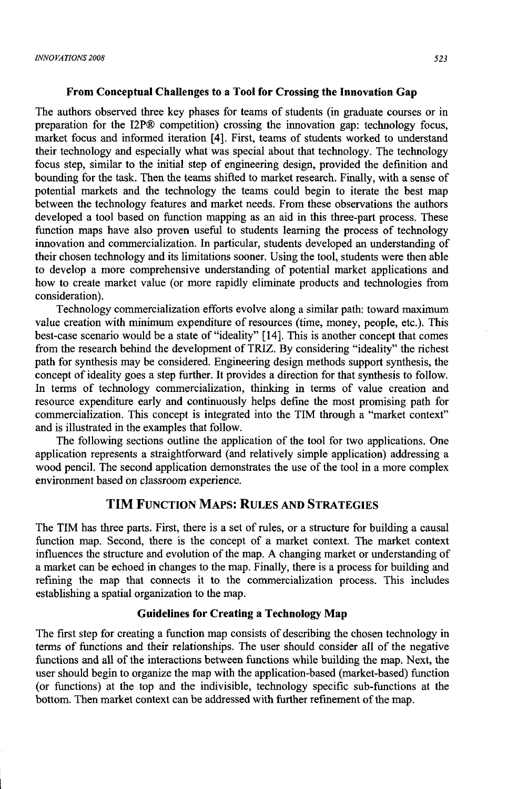### From Conceptual Challenges to a Tool for Crossing the Innovation Gap

The authors observed three key phases for teams of students (in graduate courses or in preparation for the I2P® competition) crossing the innovation gap: technology focus, market focus and informed iteration [4]. First, teams of students worked to understand their technology and especially what was special about that technology. The technology focus step, similar to the initial step of engineering design, provided the definition and bounding for the task. Then the teams shifted to market research. Finally, with a sense of potential markets and the technology the teams could begin to iterate the best map between the technology features and market needs. From these observations the authors developed a tool based on function mapping as an aid in this three-part process. These function maps have also proven useful to students learning the process of technology innovation and commercialization. In particular, students developed an understanding of their chosen technology and its limitations sooner. Using the tool, students were then able to develop a more comprehensive understanding of potential market applications and how to create market value (or more rapidly eliminate products and technologies from consideration).

Technology commercialization efforts evolve along a similar path: toward maximum value creation with minimum expenditure of resources (time, money, people, etc.). This best-case scenario would be a state of "ideality" [14]. This is another concept that comes from the research behind the development of TRIZ. By considering "ideality" the richest path for synthesis may be considered. Engineering design methods support synthesis, the concept of ideality goes a step further. It provides a direction for that synthesis to follow. In terms of technology commercialization, thinking in terms of value creation and resource expenditure early and continuously helps define the most promising path for commercialization. This concept is integrated into the TIM through a "market context" and is illustrated in the examples that follow.

The following sections outline the application of the tool for two applications. One application represents a straightforward (and relatively simple application) addressing a wood pencil. The second application demonstrates the use of the tool in a more complex environment based on classroom experience.

# **TIM** FUNCTION MAPS: RULES AND STRATEGIES

The TIM has three parts. First, there is a set of rules, or a structure for building a causal function map. Second, there is the concept of a market context. The market context influences the structure and evolution of the map. A changing market or understanding of a market can be echoed in changes to the map. Finally, there is a process for building and refining the map that connects it to the commercialization process. This includes establishing a spatial organization to the map.

### Guidelines for Creating a Technology Map

The first step for creating a function map consists of describing the chosen technology in terms of functions and their relationships. The user should consider all of the negative functions and all of the interactions between functions while building the map. Next, the user should begin to organize the map with the application-based (market-based) function (or functions) at the top and the indivisible, technology specific sub-functions at the bottom. Then market context can be addressed with further refinement of the map.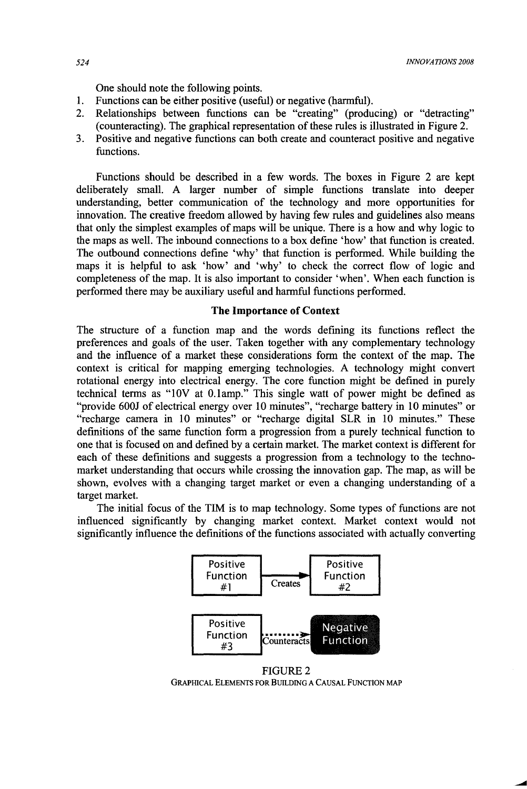One should note the following points.

- 1. Functions can be either positive (useful) or negative (harmful).<br>2. Relationships between functions can be "creating" (produ
- Relationships between functions can be "creating" (producing) or "detracting" (counteracting). The graphical representation of these rules is illustrated in Figure 2.
- 3. Positive and negative functions can both create and counteract positive and negative functions.

Functions should be described in a few words. The boxes in Figure 2 are kept deliberately small. A larger number of simple functions translate into deeper understanding, better communication of the technology and more opportunities for innovation. The creative freedom allowed by having few rules and guidelines also means that only the simplest examples of maps will be unique. There is a how and why logic to the maps as well. The inbound connections to a box define 'how' that function is created. The outbound connections define 'why' that function is performed. While building the maps it is helpful to ask 'how' and 'why' to check the correct flow of logic and completeness of the map. It is also important to consider 'when'. When each function is performed there may be auxiliary useful and harmful functions performed.

### **The Importance of Context**

The structure of a function map and the words defming its functions reflect the preferences and goals of the user. Taken together with any complementary technology and the influence of a market these considerations form the context of the map. The context is critical for mapping emerging technologies. A technology might convert rotational energy into electrical energy. The core function might be defined in purely technical terms as "lOV at O.lamp." This single watt of power might be defined as "provide 600J of electrical energy over 10 minutes", "recharge battery in 10 minutes" or "recharge camera in 10 minutes" or "recharge digital SLR in 10 minutes." These definitions of the same function form a progression from a purely technical function to one that is focused on and defined by a certain market. The market context is different for each of these definitions and suggests a progression from a technology to the technomarket understanding that occurs while crossing the innovation gap. The map, as will be shown, evolves with a changing target market or even a changing understanding of a target market.

The initial focus of the TIM is to map technology. Some types of functions are not influenced significantly by changing market context. Market context would not significantly influence the definitions of the functions associated with actually converting



FIGURE 2 GRAPHICAL ELEMENTS FOR BUILDING A CAUSAL FUNCTION MAP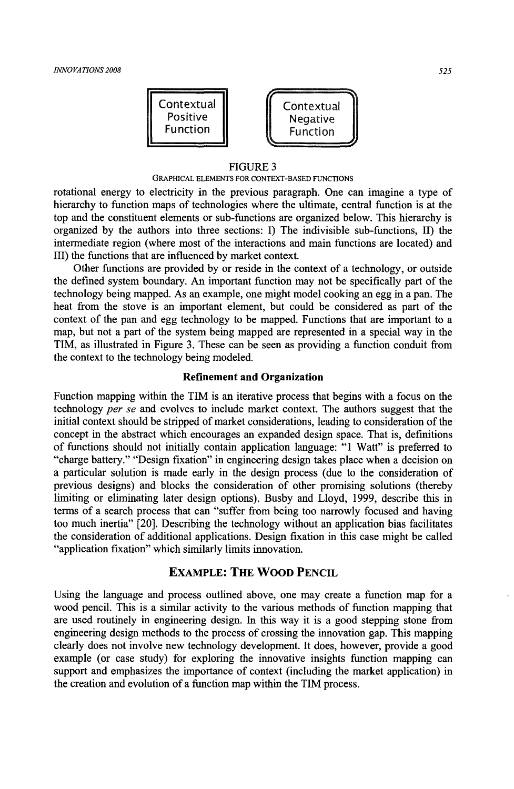

#### FIGURE 3

#### GRAPHICAL ELEMENTS FOR CONTEXT-BASED FUNCTIONS

rotational energy to electricity in the previous paragraph. One can imagine a type of hierarchy to function maps of technologies where the ultimate, central function is at the top and the constituent elements or sub-functions are organized below. This hierarchy is organized by the authors into three sections: I) The indivisible sub-functions, II) the intermediate region (where most of the interactions and main functions are located) and III) the functions that are influenced by market context.

Other functions are provided by or reside in the context of a technology, or outside the defined system boundary. An important function may not be specifically part of the technology being mapped. As an example, one might model cooking an egg in a pan. The heat from the stove is an important element, but could be considered as part of the context of the pan and egg technology to be mapped. Functions that are important to a map, but not a part of the system being mapped are represented in a special way in the TIM, as illustrated in Figure 3. These can be seen as providing a function conduit from the context to the technology being modeled.

### **Refinement and Organization**

Function mapping within the TIM is an iterative process that begins with a focus on the technology *per se* and evolves to include market context. The authors suggest that the initial context should be stripped of market considerations, leading to consideration of the concept in the abstract which encourages an expanded design space. That is, definitions of functions should not initially contain application language: "1 Watt" is preferred to "charge battery." "Design fixation" in engineering design takes place when a decision on a particular solution is made early in the design process (due to the consideration of previous designs) and blocks the consideration of other promising solutions (thereby limiting or eliminating later design options). Busby and Lloyd, 1999, describe this in terms of a search process that can "suffer from being too narrowly focused and having too much inertia" [20]. Describing the technology without an application bias facilitates the consideration of additional applications. Design fixation in this case might be called "application fixation" which similarly limits innovation.

### **EXAMPLE: THE WOOD PENCIL**

Using the language and process outlined above, one may create a function map for a wood pencil. This is a similar activity to the various methods of function mapping that are used routinely in engineering design. In this way it is a good stepping stone from engineering design methods to the process of crossing the innovation gap. This mapping clearly does not involve new technology development. It does, however, provide a good example (or case study) for exploring the innovative insights function mapping can support and emphasizes the importance of context (including the market application) in the creation and evolution of a function map within the TIM process.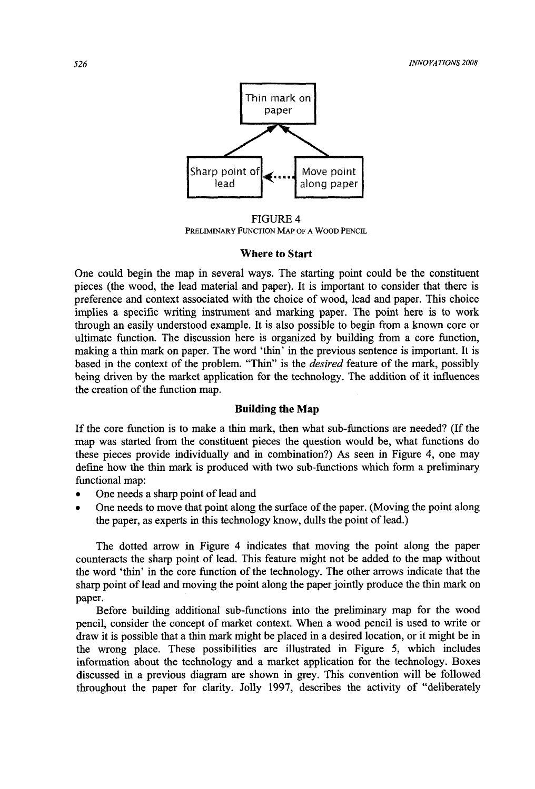

FIGURE 4<br>Preliminary Function Map of a Wood Pencil

### **Where to Start**

One could begin the map in several ways. The starting point could be the constituent pieces (the wood, the lead material and paper). It is important to consider that there is preference and context associated with the choice of wood, lead and paper. This choice implies a specific writing instrument and marking paper. The point here is to work through an easily understood example. It is also possible to begin from a known core or ultimate function. The discussion here is organized by building from a core function, making a thin mark on paper. The word 'thin' in the previous sentence is important. It is based in the context of the problem. "Thin" is the *desired* feature of the mark, possibly being driven by the market application for the technology. The addition of it influences the creation of the function map.

### **Building the Map**

If the core function is to make a thin mark, then what sub-functions are needed? (If the map was started from the constituent pieces the question would be, what functions do these pieces provide individually and in combination?) As seen in Figure 4, one may define how the thin mark is produced with two sub-functions which form a preliminary functional map:

- One needs a sharp point of lead and
- One needs to move that point along the surface of the paper. (Moving the point along the paper, as experts in this technology know, dulls the point of lead.)

The dotted arrow in Figure 4 indicates that moving the point along the paper counteracts the sharp point of lead. This feature might not be added to the map without the word 'thin' in the core function of the technology. The other arrows indicate that the sharp point of lead and moving the point along the paper jointly produce the thin mark on paper.

Before building additional sub-functions into the preliminary map for the wood pencil, consider the concept of market context. When a wood pencil is used to write or draw it is possible that a thin mark might be placed in a desired location, or it might be in the wrong place. These possibilities are illustrated in Figure 5, which includes information about the technology and a market application for the technology. Boxes discussed in a previous diagram are shown in grey. This convention will be followed throughout the paper for clarity. Jolly 1997, describes the activity of "deliberately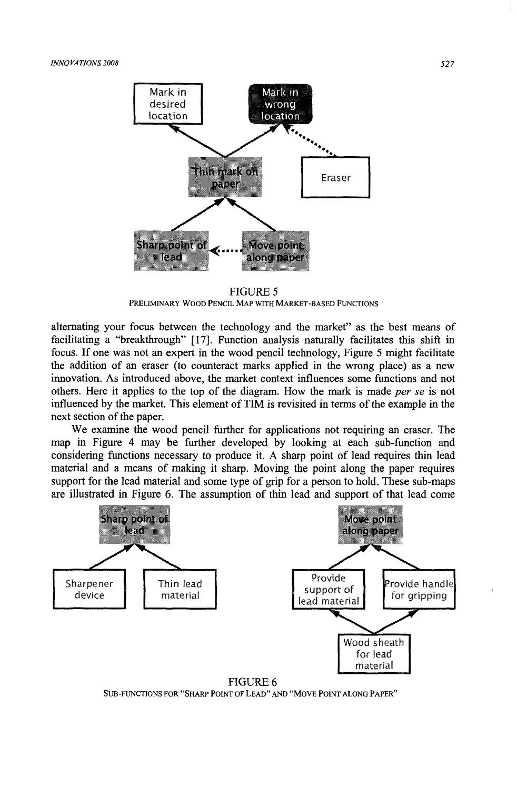

FIGURES PRELIMINARY WOOD PENCIL MAp WITH MARKET-BASED FUNCTIONS

alternating your focus between the technology and the market" as the best means of facilitating a "breakthrough" [17J. Function analysis naturally facilitates this shift in focus. If one was not an expert in the wood pencil technology, Figure S might facilitate the addition of an eraser (to counteract marks applied in the wrong place) as a new innovation. As introduced above, the market context influences some functions and not others. Here it applies to the top of the diagram. How the mark is made *per se* is not influenced by the market. This element of TIM is revisited in terms of the example in the next section of the paper.

We examine the wood pencil further for applications not requiring an eraser. The map in Figure 4 may be further developed by looking at each sub-function and considering functions necessary to produce it. A sharp point of lead requires thin lead material and a means of making it sharp. Moving the point along the paper requires support for the lead material and some type of grip for a person to hold. These sub-maps are illustrated in Figure 6. The assumption of thin lead and support of that lead come



SUB-FUNCTIONS FOR "SHARP POINT OF LEAD" AND "MOVE POINT ALONG PAPER"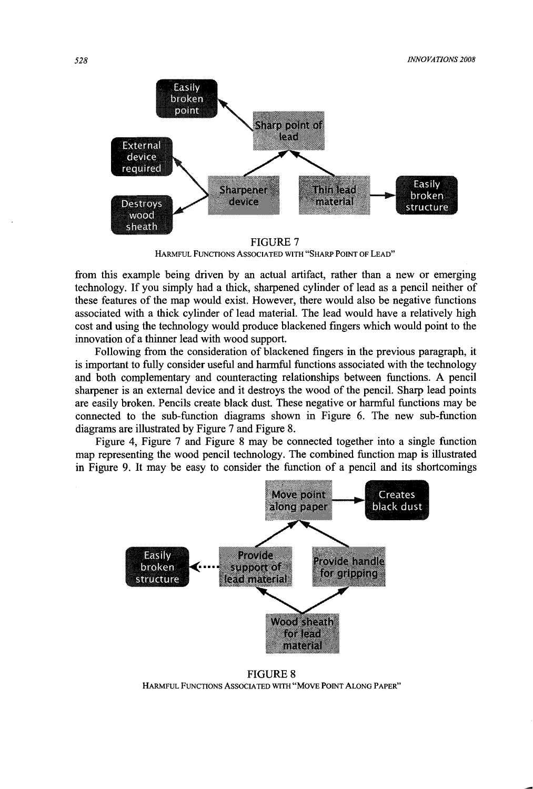

FIGURE 7 HARMFUL FUNCTIONS ASSOCIATED WITH "SHARP POINT OF LEAD"

from this example being driven by an actual artifact, rather than a new or emerging technology. If you simply had a thick, sharpened cylinder of lead as a pencil neither of these features of the map would exist. However, there would also be negative functions associated with a thick cylinder of lead material. The lead would have a relatively high cost and using the technology would produce blackened fingers which would point to the innovation of a thinner lead with wood support.

Following from the consideration of blackened fingers in the previous paragraph, it is important to fully consider useful and harmful functions associated with the technology and both complementary and counteracting relationships between functions. A pencil sharpener is an external device and it destroys the wood of the pencil. Sharp lead points are easily broken. Pencils create black dust. These negative or harmful functions may be connected to the sub-function diagrams shown in Figure 6. The new sub-function diagrams are illustrated by Figure 7 and Figure 8.

Figure 4, Figure 7 and Figure 8 may be connected together into a single function map representing the wood pencil technology. The combined function map is illustrated in Figure 9. It may be easy to consider the function of a pencil and its shortcomings



FIGURE 8 HARMFUL FUNCTIONS ASSOCIATED WITH "MOVE POINT ALONG PAPER"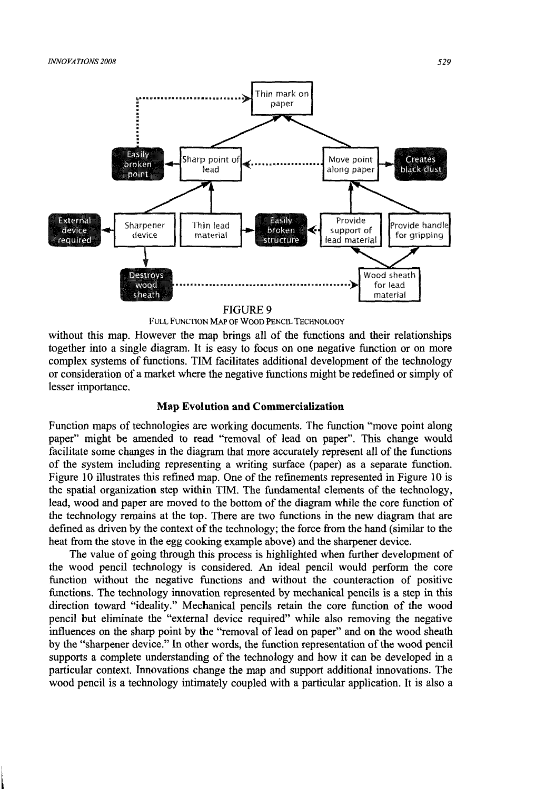

FIGURE 9<br>FULL FUNCTION MAP OF WOOD PENCIL TECHNOLOGY

without this map. However the map brings all of the functions and their relationships together into a single diagram. It is easy to focus on one negative function or on more complex systems of functions. TIM facilitates additional development of the technology or consideration of a market where the negative functions might be redefined or simply of lesser importance.

### **Map Evolution and Commercialization**

Function maps of technologies are working documents. The function "move point along paper" might be amended to read "removal of lead on paper". This change would facilitate some changes in the diagram that more accurately represent all of the functions of the system including representing a writing surface (paper) as a separate function. Figure 10 illustrates this refined map. One of the refinements represented in Figure 10 is the spatial organization step within TIM. The fundamental elements of the technology, lead, wood and paper are moved to the bottom of the diagram while the core function of the technology remains at the top. There are two functions in the new diagram that are defined as driven by the context of the technology; the force from the hand (similar to the heat from the stove in the egg cooking example above) and the sharpener device.

The value of going through this process is highlighted when further development of the wood pencil technology is considered. An ideal pencil would perform the core function without the negative functions and without the counteraction of positive functions. The technology innovation represented by mechanical pencils is a step in this direction toward "ideality." Mechanical pencils retain the core function of the wood pencil but eliminate the "external device required" while also removing the negative influences on the sharp point by the "removal of lead on paper" and on the wood sheath by the "sharpener device." In other words, the function representation of the wood pencil supports a complete understanding of the technology and how it can be developed in a particular context. Innovations change the map and support additional innovations. The wood pencil is a technology intimately coupled with a particular application. It is also a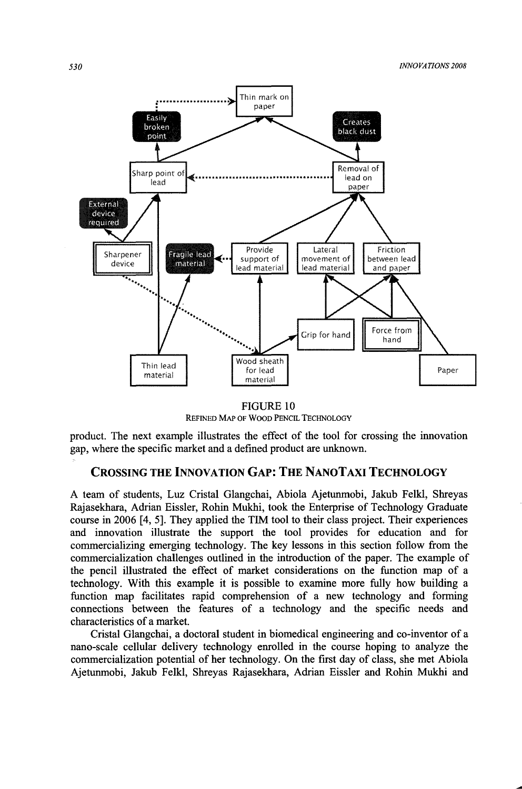

FIGURE 10<br>REFINED MAP OF WOOD PENCIL TECHNOLOGY

product. The next example illustrates the effect of the tool for crossing the innovation gap, where the specific market and a defined product are unknown.

# **CROSSING THE INNOVATION GAP: THE NANOTAXI TECHNOLOGY**

A team of students, Luz Cristal Glangchai, Abiola Ajetunmobi, Jakub Felkl, Shreyas Rajasekhara, Adrian Eissler, Rohin Mukhi, took the Enterprise of Technology Graduate course in 2006 [4, 5]. They applied the TIM tool to their class project. Their experiences and innovation illustrate the support the tool provides for education and for commercializing emerging technology. The key lessons in this section follow from the commercialization challenges outlined in the introduction of the paper. The example of the pencil illustrated the effect of market considerations on the function map of a technology. With this example it is possible to examine more fully how building a function map facilitates rapid comprehension of a new technology and forming connections between the features of a technology and the specific needs and characteristics of a market.

Cristal Glangchai, a doctoral student in biomedical engineering and co-inventor of a nano-scale cellular delivery technology enrolled in the course hoping to analyze the commercialization potential of her technology. On the first day of class, she met Abiola Ajetunmobi, Jakub Felkl, Shreyas Rajasekhara, Adrian Eissler and Rohin Mukhi and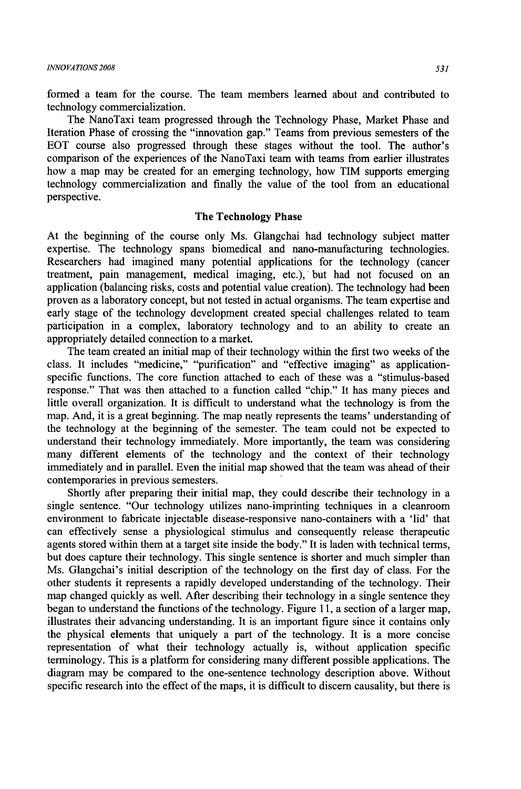formed a team for the course. The team members learned about and contributed to technology commercialization.

The NanoTaxi team progressed through the Technology Phase, Market Phase and Iteration Phase of crossing the "innovation gap." Teams from previous semesters of the EOT course also progressed through these stages without the tool. The author's comparison of the experiences of the NanoTaxi team with teams from earlier illustrates how a map may be created for an emerging technology, how TIM supports emerging technology commercialization and finally the value of the tool from an educational perspective.

### **The Technology Phase**

At the beginning of the course only Ms. Glangchai had technology subject matter expertise. The technology spans biomedical and nano-manufacturing technologies. Researchers had imagined many potential applications for the technology (cancer treatment, pain management, medical imaging, etc.), but had not focused on an application (balancing risks, costs and potential value creation). The technology had been proven as a laboratory concept, but not tested in actual organisms. The team expertise and early stage of the technology development created special challenges related to team participation in a complex, laboratory technology and to an ability to create an appropriately detailed connection to a market.

The team created an initial map of their technology within the first two weeks of the class. It includes "medicine," "purification" and "effective imaging" as applicationspecific functions. The core function attached to each of these was a "stimulus-based response." That was then attached to a function called "chip." It has many pieces and little overall organization. It is difficult to understand what the technology is from the map. And, it is a great beginning. The map neatly represents the teams' understanding of the technology at the beginning of the semester. The team could not be expected to understand their technology immediately. More importantly, the team was considering many different elements of the technology and the context of their technology immediately and in parallel. Even the initial map showed that the team was ahead of their contemporaries in previous semesters.

Shortly after preparing their initial map, they could describe their technology in a single sentence. "Our technology utilizes nano-imprinting techniques in a cleanroom environment to fabricate injectable disease-responsive nano-containers with a 'lid' that can effectively sense a physiological stimulus and consequently release therapeutic agents stored within them at a target site inside the body." It is laden with technical terms, but does capture their technology. This single sentence is shorter and much simpler than Ms. Glangchai's initial description of the technology on the first day of class. For the other students it represents a rapidly developed understanding of the technology. Their map changed quickly as well. After describing their technology in a single sentence they began to understand the functions of the technology. Figure 11, a section of a larger map, illustrates their advancing understanding. It is an important figure since it contains only the physical elements that uniquely a part of the technology. It is a more concise representation of what their technology actually is, without application specific terminology. This is a platform for considering many different possible applications. The diagram may be compared to the one-sentence technology description above. Without specific research into the effect of the maps, it is difficult to discern causality, but there is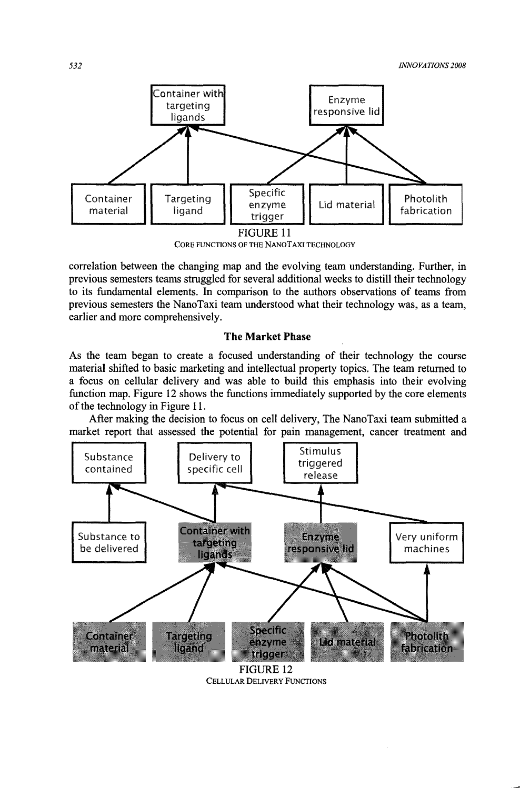

correlation between the changing map and the evolving team understanding. Further, in previous semesters teams struggled for several additional weeks to distill their technology to its fundamental elements. In comparison to the authors observations of teams from previous semesters the NanoTaxi team understood what their technology was, as a team, earlier and more comprehensively.

### **The Market Phase**

As the team began to create a focused understanding of their technology the course material shifted to basic marketing and intellectual property topics. The team returned to a focus on cellular delivery and was able to build this emphasis into their evolving function map. Figure 12 shows the functions immediately supported by the core elements of the technology in Figure 11.

After making the decision to focus on cell delivery, The NanoTaxi team submitted a market report that assessed the potential for pain management, cancer treatment and



CELLULAR DELIVERY FUNCTIONS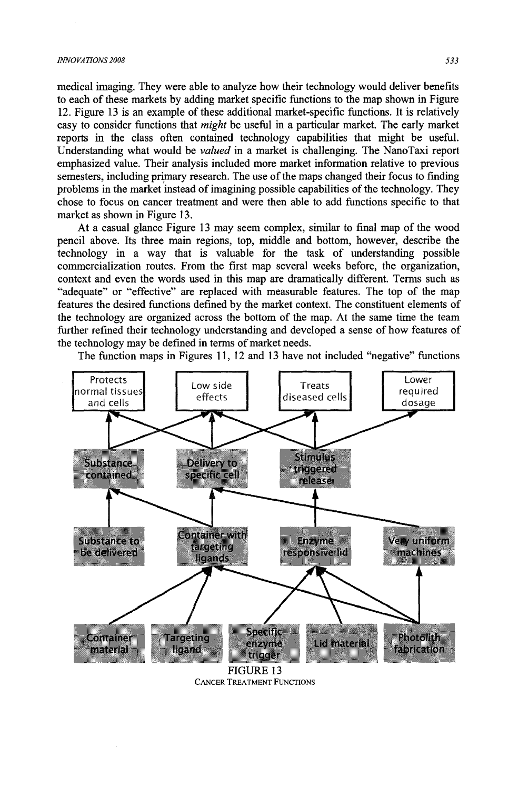#### *INNOVATIONS 2008* 533

medical imaging. They were able to analyze how their technology would deliver benefits to each of these markets by adding market specific functions to the map shown in Figure 12. Figure 13 is an example of these additional market-specific functions. It is relatively easy to consider functions that *might* be useful in a particular market. The early market reports in the class often contained technology capabilities that might be useful. Understanding what would be *valued* in a market is challenging. The NanoTaxi report emphasized value. Their analysis included more market information relative to previous semesters, including primary research. The use of the maps changed their focus to finding problems in the market instead of imagining possible capabilities of the technology. They chose to focus on cancer treatment and were then able to add functions specific to that market as shown in Figure 13.

At a casual glance Figure 13 may seem complex, similar to fmal map of the wood pencil above. Its three main regions, top, middle and bottom, however, describe the technology in a way that is valuable for the task of understanding possible commercialization routes. From the first map several weeks before, the organization, context and even the words used in this map are dramatically different. Terms such as "adequate" or "effective" are replaced with measurable features. The top of the map features the desired functions defined by the market context. The constituent elements of the technology are organized across the bottom of the map. At the same time the team further refined their technology understanding and developed a sense of how features of the technology may be defined in terms of market needs.

The function maps in Figures 11, 12 and 13 have not included "negative" functions



FIGURE 13<br>CANCER TREATMENT FUNCTIONS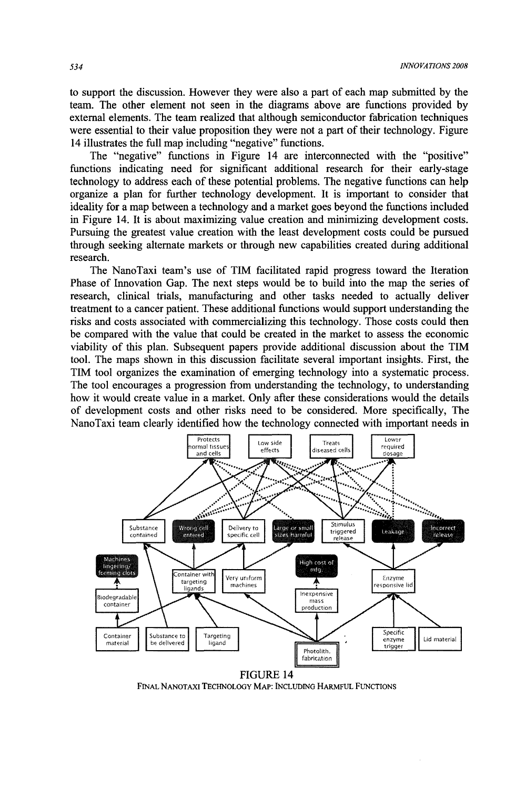to support the discussion. However they were also a part of each map submitted by the team. The other element not seen in the diagrams above are functions provided by external elements. The team realized that although semiconductor fabrication techniques were essential to their value proposition they were not a part of their technology. Figure 14 illustrates the full map including "negative" functions.

The "negative" functions in Figure 14 are interconnected with the "positive" functions indicating need for significant additional research for their early-stage technology to address each of these potential problems. The negative functions can help organize a plan for further technology development. It is important to consider that ideality for a map between a technology and a market goes beyond the functions included in Figure 14. It is about maximizing value creation and minimizing development costs. Pursuing the greatest value creation with the least development costs could be pursued through seeking alternate markets or through new capabilities created during additional research.

The NanoTaxi team's use of TIM facilitated rapid progress toward the Iteration Phase of Innovation Gap. The next steps would be to build into the map the series of research, clinical trials, manufacturing and other tasks needed to actually deliver treatment to a cancer patient. These additional functions would support understanding the risks and costs associated with commercializing this technology. Those costs could then be compared with the value that could be created in the market to assess the economic viability of this plan. Subsequent papers provide additional discussion about the TIM tool. The maps shown in this discussion facilitate several important insights. First, the TIM tool organizes the examination of emerging technology into a systematic process. The tool encourages a progression from understanding the technology, to understanding how it would create value in a market. Only after these considerations would the details of development costs and other risks need to be considered. More specifically, The NanoTaxi team clearly identified how the technology connected with important needs in



FIGURE 14 FINAL NANOTAXI TECHNOLOGY MAP: INCLUDING HARMFUL FUNCTIONS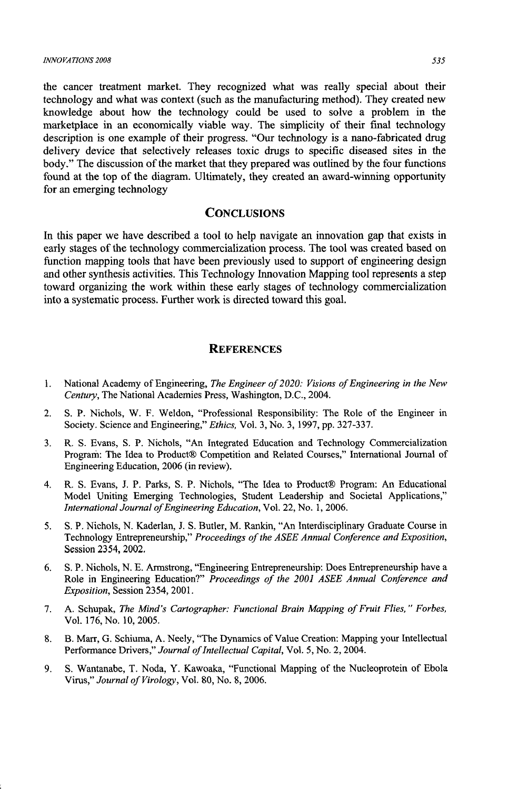#### *INNOVATIONS 2008* 535

the cancer treatment market. They recognized what was really special about their technology and what was context (such as the manufacturing method). They created new knowledge about how the technology could be used to solve a problem in the marketplace in an economically viable way. The simplicity of their final technology description is one example of their progress. "Our technology is a nano-fabricated drug delivery device that selectively releases toxic drugs to specific diseased sites in the body." The discussion of the market that they prepared was outlined by the four functions found at the top of the diagram. Ultimately, they created an award-winning opportunity for an emerging technology

### **CONCLUSIONS**

In this paper we have described a tool to help navigate an innovation gap that exists in early stages of the technology commercialization process. The tool was created based on function mapping tools that have been previously used to support of engineering design and other synthesis activities. This Technology Innovation Mapping tool represents a step toward organizing the work within these early stages of technology commercialization into a systematic process. Further work is directed toward this goal.

### **REFERENCES**

- 1. National Academy of Engineering, *The Engineer of 2020: Visions of Engineering in the New Century,* The National Academies Press, Washington, D.C., 2004.
- 2. S. P. Nichols, W. F. Weldon, "Professional Responsibility: The Role of the Engineer in Society. Science and Engineering," *Ethics,* Vol. 3, No.3, 1997, pp. 327-337.
- 3. R. S. Evans, S. P. Nichols, "An Integrated Education and Technology Commercialization Program: The Idea to Product® Competition and Related Courses," International Journal of Engineering Education, 2006 (in review).
- 4. R. S. Evans, J. P. Parks, S. P. Nichols, "The Idea to Product® Program: An Educational Model Uniting Emerging Technologies, Student Leadership and Societal Applications," *International Journal of Engineering Education,* Vol. 22, No.1, 2006.
- 5. S. P. Nichols, N. Kaderlan, 1. S. Butler, M. Rankin, "An Interdisciplinary Graduate Course in Technology Entrepreneurship," *Proceedings of the ASEE Annual Conference and Exposition,*  Session 2354, 2002.
- 6. S. P. Nichols, N. E. Armstrong, "Engineering Entrepreneurship: Does Entrepreneurship have a Role in Engineering Education?" *Proceedings of the 2001 ASEE Annual Conference and Exposition,* Session 2354, 200l.
- 7. A. Schupak, *The Mind's Cartographer: Functional Brain Mapping of Fruit Flies," Forbes,*  Vol. 176, No. 10,2005.
- 8. B. Marr, G. Schiuma, A. Neely, "The Dynamics of Value Creation: Mapping your Intellectual Performance Drivers," *Journal of Intellectual Capital,* Vol. 5, No.2, 2004.
- 9. S. Wantanabe, T. Noda, Y. Kawoaka, "Functional Mapping of the Nucleoprotein of Ebola Virus," *Journal of Virology,* Vol. 80, No.8, 2006.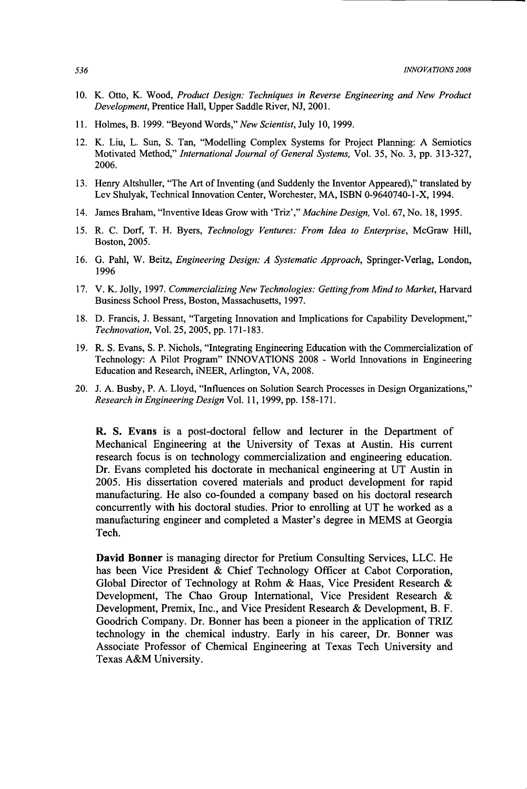- 10. K. Otto, K. Wood, *Product Design: Techniques in Reverse Engineering and New Product Development,* Prentice Hall, Upper Saddle River, NJ, 2001.
- 11. Holmes, B. 1999. "Beyond Words," *New Scientist,* July 10, 1999.
- 12. K. Liu, L. Sun, S. Tan, "Modelling Complex Systems for Project Planning: A Semiotics Motivated Method," *International Journal of General Systems,* Vol. 35, No.3, pp. 313-327, 2006.
- 13. Henry Altshuller, "The Art of Inventing (and Suddenly the Inventor Appeared)," translated by Lev Shulyak, Technical Innovation Center, Worchester, MA, ISBN 0-9640740-1-X, 1994.
- 14. James Braham, "Inventive Ideas Grow with 'Triz'," *Machine Design,* Vol. 67, No. 18, 1995.
- 15. R. C. Dorf, T. H. Byers, *Technology Ventures: From Idea to Enterprise,* McGraw Hill, Boston, 2005.
- 16. G. Pahl, W. Beitz, *Engineering Design: A Systematic Approach,* Springer-Verlag, London, 1996
- 17. V. K. Jolly, 1997. *Commercializing New Technologies: Gettingfrom Mind to Market,* Harvard Business School Press, Boston, Massachusetts, 1997.
- 18. D. Francis, J. Bessant, "Targeting Innovation and Implications for Capability Development," *Technovation,* Vol. 25, 2005, pp. 171-183.
- 19. R. S. Evans, S. P. Nichols, "Integrating Engineering Education with the Commercialization of Technology: A Pilot Program" INNOVATIONS 2008 - World Innovations in Engineering Education and Research, iNEER, Arlington, VA, 2008.
- 20. J. A. Busby, P. A. Lloyd, "Influences on Solution Search Processes in Design Organizations," *Research in Engineering Design* Vol. 11, 1999, pp. 158-171.

R. S. Evans is a post-doctoral fellow and lecturer in the Department of Mechanical Engineering at the University of Texas at Austin. His current research focus is on technology commercialization and engineering education. Dr. Evans completed his doctorate in mechanical engineering at UT Austin in 2005. His dissertation covered materials and product development for rapid manufacturing. He also co-founded a company based on his doctoral research concurrently with his doctoral studies. Prior to emolling at UT he worked as a manufacturing engineer and completed a Master's degree in MEMS at Georgia Tech.

**David Bonner** is managing director for Pretium Consulting Services, LLC. He has been Vice President & Chief Technology Officer at Cabot Corporation, Global Director of Technology at Rohm & Haas, Vice President Research & Development, The Chao Group International, Vice President Research & Development, Premix, Inc., and Vice President Research & Development, B. F. Goodrich Company. Dr. Bonner has been a pioneer in the application of TRIZ technology in the chemical industry. Early in his career, Dr. Bonner was Associate Professor of Chemical Engineering at Texas Tech University and Texas A&M University.